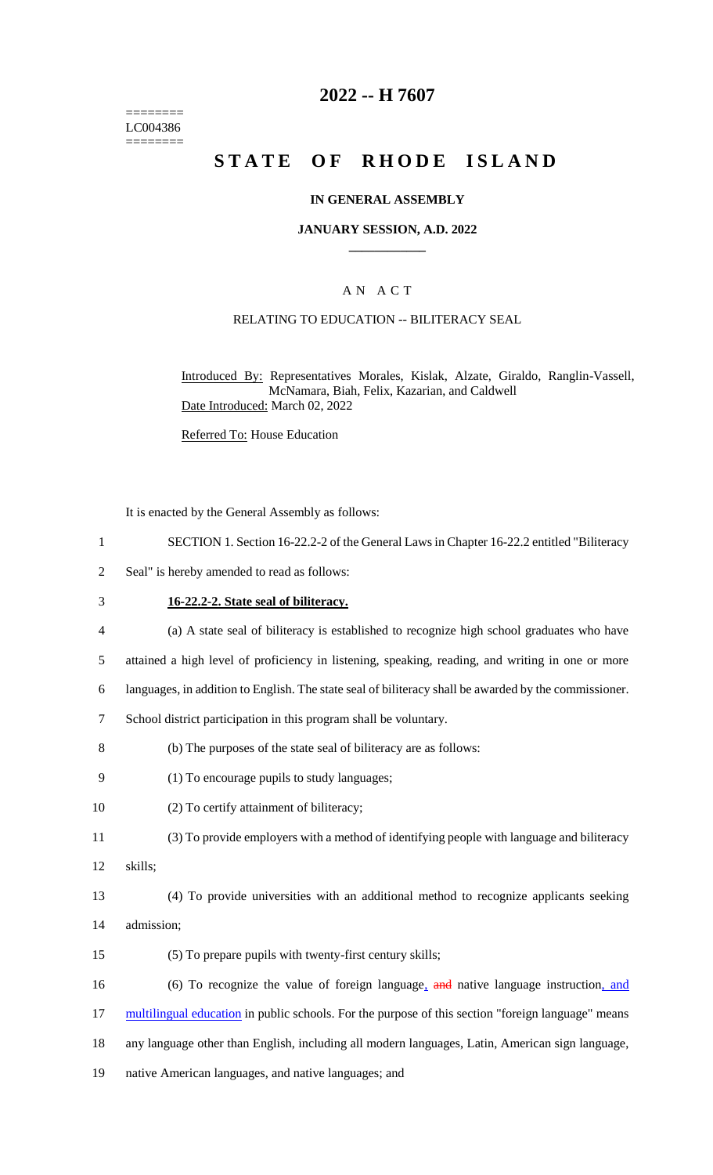======== LC004386 ========

### **2022 -- H 7607**

# **STATE OF RHODE ISLAND**

#### **IN GENERAL ASSEMBLY**

#### **JANUARY SESSION, A.D. 2022 \_\_\_\_\_\_\_\_\_\_\_\_**

### A N A C T

#### RELATING TO EDUCATION -- BILITERACY SEAL

Introduced By: Representatives Morales, Kislak, Alzate, Giraldo, Ranglin-Vassell, McNamara, Biah, Felix, Kazarian, and Caldwell Date Introduced: March 02, 2022

Referred To: House Education

It is enacted by the General Assembly as follows:

- 1 SECTION 1. Section 16-22.2-2 of the General Laws in Chapter 16-22.2 entitled "Biliteracy
- 2 Seal" is hereby amended to read as follows:
- 3 **16-22.2-2. State seal of biliteracy.**
- 4 (a) A state seal of biliteracy is established to recognize high school graduates who have
- 5 attained a high level of proficiency in listening, speaking, reading, and writing in one or more
- 6 languages, in addition to English. The state seal of biliteracy shall be awarded by the commissioner.
- 7 School district participation in this program shall be voluntary.
- 8 (b) The purposes of the state seal of biliteracy are as follows:
- 9 (1) To encourage pupils to study languages;
- 10 (2) To certify attainment of biliteracy;
- 11 (3) To provide employers with a method of identifying people with language and biliteracy
- 12 skills;
- 13 (4) To provide universities with an additional method to recognize applicants seeking 14 admission;
- 15 (5) To prepare pupils with twenty-first century skills;

16 (6) To recognize the value of foreign language, and native language instruction, and 17 multilingual education in public schools. For the purpose of this section "foreign language" means 18 any language other than English, including all modern languages, Latin, American sign language,

19 native American languages, and native languages; and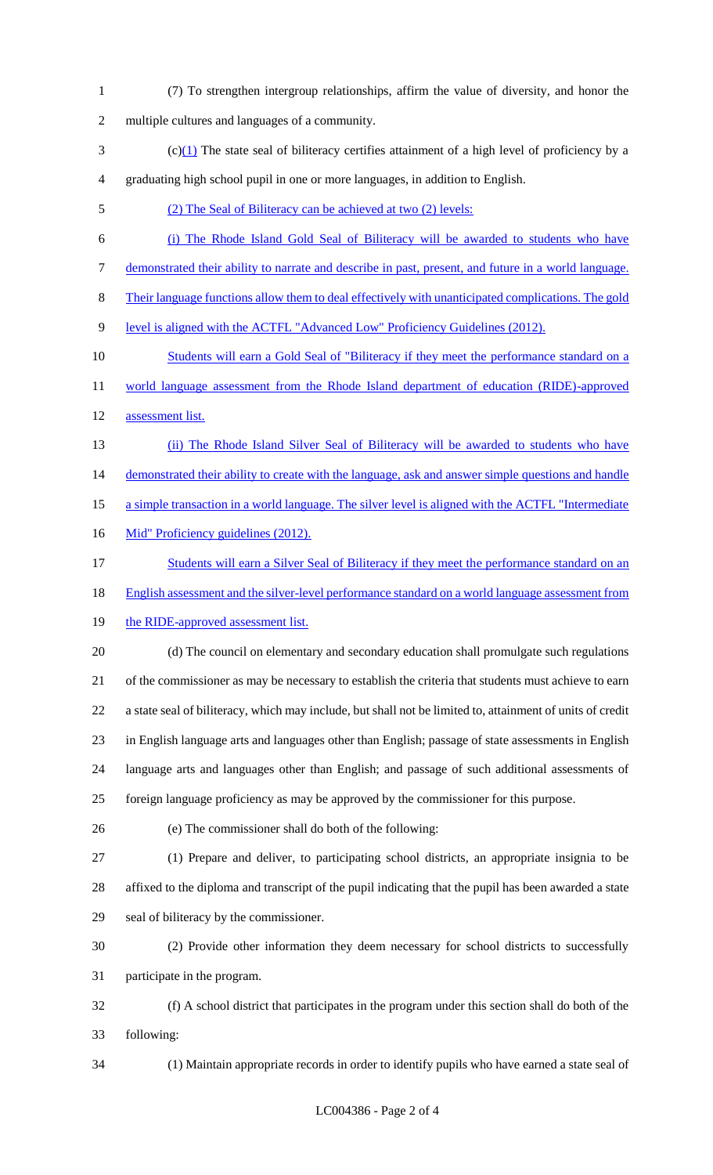- (7) To strengthen intergroup relationships, affirm the value of diversity, and honor the multiple cultures and languages of a community.
- (c)(1) The state seal of biliteracy certifies attainment of a high level of proficiency by a graduating high school pupil in one or more languages, in addition to English.
- (2) The Seal of Biliteracy can be achieved at two (2) levels:
- (i) The Rhode Island Gold Seal of Biliteracy will be awarded to students who have demonstrated their ability to narrate and describe in past, present, and future in a world language.
- Their language functions allow them to deal effectively with unanticipated complications. The gold
- level is aligned with the ACTFL "Advanced Low" Proficiency Guidelines (2012).
- 10 Students will earn a Gold Seal of "Biliteracy if they meet the performance standard on a 11 world language assessment from the Rhode Island department of education (RIDE)-approved
- assessment list.
- (ii) The Rhode Island Silver Seal of Biliteracy will be awarded to students who have 14 demonstrated their ability to create with the language, ask and answer simple questions and handle
- a simple transaction in a world language. The silver level is aligned with the ACTFL "Intermediate
- 16 Mid" Proficiency guidelines (2012).
- 17 Students will earn a Silver Seal of Biliteracy if they meet the performance standard on an
- English assessment and the silver-level performance standard on a world language assessment from
- 19 the RIDE-approved assessment list.
- (d) The council on elementary and secondary education shall promulgate such regulations of the commissioner as may be necessary to establish the criteria that students must achieve to earn a state seal of biliteracy, which may include, but shall not be limited to, attainment of units of credit in English language arts and languages other than English; passage of state assessments in English language arts and languages other than English; and passage of such additional assessments of foreign language proficiency as may be approved by the commissioner for this purpose.
- 
- (e) The commissioner shall do both of the following:
- (1) Prepare and deliver, to participating school districts, an appropriate insignia to be affixed to the diploma and transcript of the pupil indicating that the pupil has been awarded a state seal of biliteracy by the commissioner.
- (2) Provide other information they deem necessary for school districts to successfully participate in the program.
- (f) A school district that participates in the program under this section shall do both of the following:
- 

(1) Maintain appropriate records in order to identify pupils who have earned a state seal of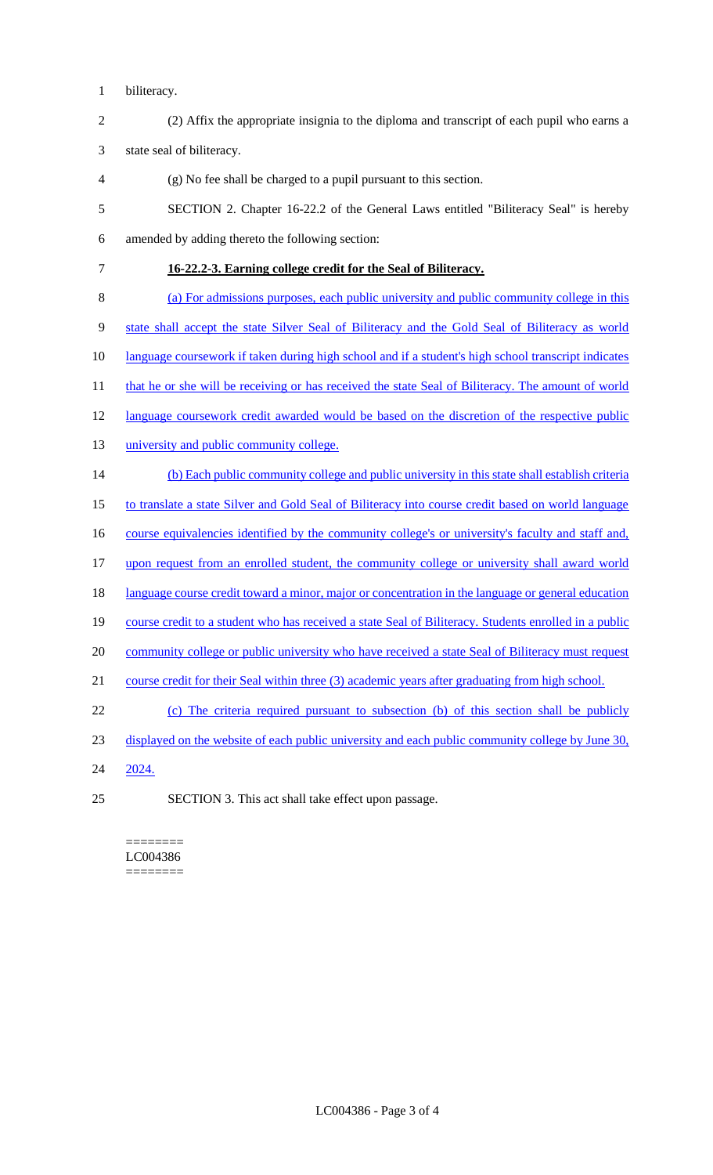- biliteracy.
- (2) Affix the appropriate insignia to the diploma and transcript of each pupil who earns a

state seal of biliteracy.

- (g) No fee shall be charged to a pupil pursuant to this section.
- SECTION 2. Chapter 16-22.2 of the General Laws entitled "Biliteracy Seal" is hereby amended by adding thereto the following section:
- **16-22.2-3. Earning college credit for the Seal of Biliteracy.**
- (a) For admissions purposes, each public university and public community college in this state shall accept the state Silver Seal of Biliteracy and the Gold Seal of Biliteracy as world language coursework if taken during high school and if a student's high school transcript indicates 11 that he or she will be receiving or has received the state Seal of Biliteracy. The amount of world 12 language coursework credit awarded would be based on the discretion of the respective public 13 university and public community college. (b) Each public community college and public university in this state shall establish criteria to translate a state Silver and Gold Seal of Biliteracy into course credit based on world language 16 course equivalencies identified by the community college's or university's faculty and staff and, upon request from an enrolled student, the community college or university shall award world 18 language course credit toward a minor, major or concentration in the language or general education course credit to a student who has received a state Seal of Biliteracy. Students enrolled in a public 20 community college or public university who have received a state Seal of Biliteracy must request
- course credit for their Seal within three (3) academic years after graduating from high school.
- (c) The criteria required pursuant to subsection (b) of this section shall be publicly
- displayed on the website of each public university and each public community college by June 30,
- 2024.
- SECTION 3. This act shall take effect upon passage.

======== LC004386 ========